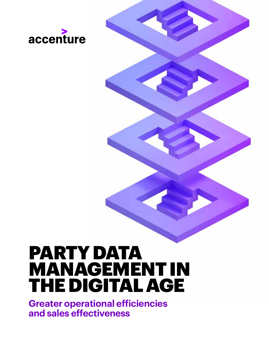

# PARTY DATA MANAGEMENT IN THE DIGITAL AGE

**Greater operational efficiencies and sales effectiveness**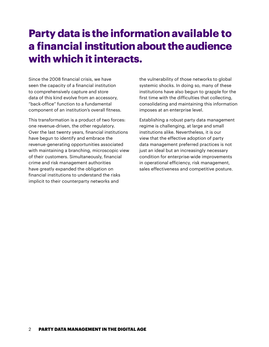# **Party data is the information available to a financial institution about the audience with which it interacts.**

Since the 2008 financial crisis, we have seen the capacity of a financial institution to comprehensively capture and store data of this kind evolve from an accessory, "back-office" function to a fundamental component of an institution's overall fitness.

This transformation is a product of two forces: one revenue-driven, the other regulatory. Over the last twenty years, financial institutions have begun to identify and embrace the revenue-generating opportunities associated with maintaining a branching, microscopic view of their customers. Simultaneously, financial crime and risk management authorities have greatly expanded the obligation on financial institutions to understand the risks implicit to their counterparty networks and

the vulnerability of those networks to global systemic shocks. In doing so, many of these institutions have also begun to grapple for the first time with the difficulties that collecting, consolidating and maintaining this information imposes at an enterprise level.

Establishing a robust party data management regime is challenging, at large and small institutions alike. Nevertheless, it is our view that the effective adoption of party data management preferred practices is not just an ideal but an increasingly necessary condition for enterprise-wide improvements in operational efficiency, risk management, sales effectiveness and competitive posture.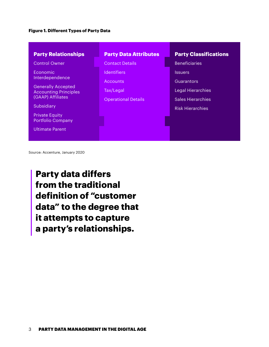#### **Figure 1. Different Types of Party Data**



Source: Accenture, January 2020

**Party data differs from the traditional definition of "customer data" to the degree that it attempts to capture a party's relationships.**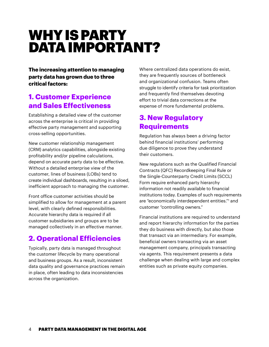# WHY IS PARTY DATA IMPORTANT?

**The increasing attention to managing party data has grown due to three critical factors:**

## **1. Customer Experience and Sales Effectiveness**

Establishing a detailed view of the customer across the enterprise is critical in providing effective party management and supporting cross-selling opportunities.

New customer relationship management (CRM) analytics capabilities, alongside existing profitability and/or pipeline calculations, depend on accurate party data to be effective. Without a detailed enterprise view of the customer, lines of business (LOBs) tend to create individual dashboards, resulting in a siloed, inefficient approach to managing the customer.

Front office customer activities should be simplified to allow for management at a parent level, with clearly defined responsibilities. Accurate hierarchy data is required if all customer subsidiaries and groups are to be managed collectively in an effective manner.

## **2. Operational Efficiencies**

Typically, party data is managed throughout the customer lifecycle by many operational and business groups. As a result, inconsistent data quality and governance practices remain in place, often leading to data inconsistencies across the organization.

Where centralized data operations do exist, they are frequently sources of bottleneck and organizational confusion. Teams often struggle to identify criteria for task prioritization and frequently find themselves devoting effort to trivial data corrections at the expense of more fundamental problems.

## **3. New Regulatory Requirements**

Regulation has always been a driving factor behind financial institutions' performing due diligence to prove they understand their customers.

New regulations such as the Qualified Financial Contracts (QFC) Recordkeeping Final Rule or the Single-Counterparty Credit Limits (SCCL) Form require enhanced party hierarchy information not readily available to financial institutions today. Examples of such requirements are "economically interdependent entities."<sup>1</sup> and customer "controlling owners."

Financial institutions are required to understand and report hierarchy information for the parties they do business with directly, but also those that transact via an intermediary. For example, beneficial owners transacting via an asset management company, principals transacting via agents. This requirement presents a data challenge when dealing with large and complex entities such as private equity companies.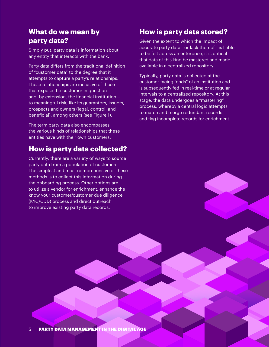## **What do we mean by party data?**

Simply put, party data is information about any entity that interacts with the bank.

Party data differs from the traditional definition of "customer data" to the degree that it attempts to capture a party's relationships. These relationships are inclusive of those that expose the customer in question and, by extension, the financial institution to meaningful risk, like its guarantors, issuers, prospects and owners (legal, control, and beneficial), among others (see Figure 1).

The term party data also encompasses the various kinds of relationships that these entities have with their own customers.

## **How is party data collected?**

Currently, there are a variety of ways to source party data from a population of customers. The simplest and most comprehensive of these methods is to collect this information during the onboarding process. Other options are to utilize a vendor for enrichment, enhance the know your customer/customer due diligence (KYC/CDD) process and direct outreach to improve existing party data records.

## **How is party data stored?**

Given the extent to which the impact of accurate party data—or lack thereof—is liable to be felt across an enterprise, it is critical that data of this kind be mastered and made available in a centralized repository.

Typically, party data is collected at the customer-facing "ends" of an institution and is subsequently fed in real-time or at regular intervals to a centralized repository. At this stage, the data undergoes a "mastering" process, whereby a central logic attempts to match and merge redundant records and flag incomplete records for enrichment.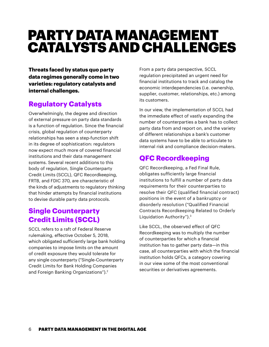# PARTY DATA MANAGEMENT CATALYSTS AND CHALLENGES

**Threats faced by status quo party data regimes generally come in two varieties: regulatory catalysts and internal challenges.** 

## **Regulatory Catalysts**

Overwhelmingly, the degree and direction of external pressure on party data standards is a function of regulation. Since the financial crisis, global regulation of counterparty relationships has seen a step-function shift in its degree of sophistication: regulators now expect much more of covered financial institutions and their data management systems. Several recent additions to this body of regulation, Single Counterparty Credit Limits (SCCL), QFC Recordkeeping, FRTB, and FDIC 370, are characteristic of the kinds of adjustments to regulatory thinking that hinder attempts by financial institutions to devise durable party data protocols.

## **Single Counterparty Credit Limits (SCCL)**

SCCL refers to a raft of Federal Reserve rulemaking, effective October 5, 2018, which obligated sufficiently large bank holding companies to impose limits on the amount of credit exposure they would tolerate for any single counterparty ("Single-Counterparty Credit Limits for Bank Holding Companies and Foreign Banking Organizations").<sup>2</sup>

From a party data perspective, SCCL regulation precipitated an urgent need for financial institutions to track and catalog the economic interdependencies (i.e. ownership, supplier, customer, relationships, etc.) among its customers.

In our view, the implementation of SCCL had the immediate effect of vastly expanding the number of counterparties a bank has to collect party data from and report on, and the variety of different relationships a bank's customer data systems have to be able to articulate to internal risk and compliance decision-makers.

## **QFC Recordkeeping**

QFC Recordkeeping, a Fed Final Rule, obligates sufficiently large financial institutions to fulfill a number of party data requirements for their counterparties to resolve their QFC (qualified financial contract) positions in the event of a bankruptcy or disorderly resolution ("Qualified Financial Contracts Recordkeeping Related to Orderly Liquidation Authority").<sup>3</sup>

Like SCCL, the observed effect of QFC Recordkeeping was to multiply the number of counterparties for which a financial institution has to gather party data—in this case, all counterparties with which the financial institution holds QFCs, a category covering in our view some of the most conventional securities or derivatives agreements.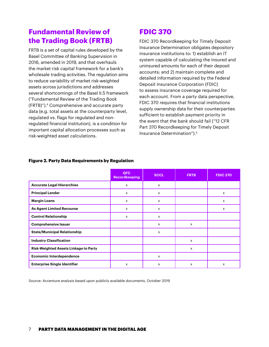## **Fundamental Review of the Trading Book (FRTB)**

FRTB is a set of capital rules developed by the Basel Committee of Banking Supervision in 2016, amended in 2019, and that overhauls the market risk capital framework for a bank's wholesale trading activities. The regulation aims to reduce variability of market risk-weighted assets across jurisdictions and addresses several shortcomings of the Basel II.5 framework ("Fundamental Review of the Trading Book (FRTB)").4 Comprehensive and accurate party data (e.g. total assets at the counterparty level, regulated vs. flags for regulated and nonregulated financial institution), is a condition for important capital allocation processes such as risk-weighted asset calculations.

## **FDIC 370**

FDIC 370 Recordkeeping for Timely Deposit Insurance Determination obligates depository insurance institutions to: 1) establish an IT system capable of calculating the insured and uninsured amounts for each of their deposit accounts; and 2) maintain complete and detailed information required by the Federal Deposit Insurance Corporation (FDIC) to assess insurance coverage required for each account. From a party data perspective, FDIC 370 requires that financial institutions supply ownership data for their counterparties sufficient to establish payment priority in the event that the bank should fail ("12 CFR Part 370 Recordkeeping for Timely Deposit Insurance Determination").<sup>5</sup>

|                                              | <b>QFC</b><br><b>Recordkeeping</b> | <b>SCCL</b>  | <b>FRTB</b> | <b>FDIC 370</b> |  |
|----------------------------------------------|------------------------------------|--------------|-------------|-----------------|--|
| <b>Accurate Legal Hierarchies</b>            | $\mathsf{x}$                       | $\mathsf{x}$ |             |                 |  |
| <b>Principal Lender</b>                      | $\mathsf{x}$                       | X            |             | $\mathsf{x}$    |  |
| <b>Margin Loans</b>                          | X                                  | X            |             | x               |  |
| <b>As Agent Limited Recourse</b>             | x                                  | X            |             | X               |  |
| <b>Control Relationship</b>                  | $\boldsymbol{\mathsf{x}}$          | $\mathsf{x}$ |             |                 |  |
| <b>Comprehensive Issuer</b>                  |                                    | $\mathsf{x}$ | X           |                 |  |
| <b>State/Municipal Relationship</b>          |                                    | X            |             |                 |  |
| <b>Industry Classification</b>               |                                    |              | X           |                 |  |
| <b>Risk-Weighted Assets Linkage to Party</b> |                                    |              | X           |                 |  |
| <b>Economic Interdependence</b>              |                                    | $\mathsf{x}$ |             |                 |  |
| <b>Enterprise Single Identifier</b>          | X                                  | X            | X           | X               |  |

#### **Figure 2. Party Data Requirements by Regulation**

Source: Accenture analysis based upon publicly available documents, October 2019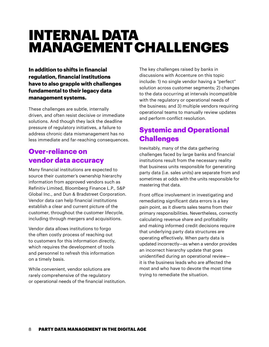# INTERNAL DATA MANAGEMENT CHALLENGES

**In addition to shifts in financial regulation, financial institutions have to also grapple with challenges fundamental to their legacy data management systems.** 

These challenges are subtle, internally driven, and often resist decisive or immediate solutions. And though they lack the deadline pressure of regulatory initiatives, a failure to address chronic data mismanagement has no less immediate and far-reaching consequences.

## **Over-reliance on vendor data accuracy**

Many financial institutions are expected to source their customer's ownership hierarchy information from approved vendors such as Refinitiv Limited, Bloomberg Finance L.P., S&P Global Inc., and Dun & Bradstreet Corporation. Vendor data can help financial institutions establish a clear and current picture of the customer, throughout the customer lifecycle, including through mergers and acquisitions.

Vendor data allows institutions to forgo the often costly process of reaching out to customers for this information directly, which requires the development of tools and personnel to refresh this information on a timely basis.

While convenient, vendor solutions are rarely comprehensive of the regulatory or operational needs of the financial institution.

The key challenges raised by banks in discussions with Accenture on this topic include: 1) no single vendor having a "perfect" solution across customer segments; 2) changes to the data occurring at intervals incompatible with the regulatory or operational needs of the business; and 3) multiple vendors requiring operational teams to manually review updates and perform conflict resolution.

## **Systemic and Operational Challenges**

Inevitably, many of the data gathering challenges faced by large banks and financial institutions result from the necessary reality that business units responsible for generating party data (i.e. sales units) are separate from and sometimes at odds with the units responsible for mastering that data.

Front office involvement in investigating and remediating significant data errors is a key pain point, as it diverts sales teams from their primary responsibilities. Nevertheless, correctly calculating revenue share and profitability and making informed credit decisions require that underlying party data structures are operating effectively. When party data is updated incorrectly—as when a vendor provides an incorrect hierarchy update that goes unidentified during an operational review it is the business leads who are affected the most and who have to devote the most time trying to remediate the situation.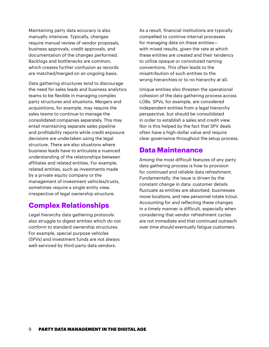Maintaining party data accuracy is also manually intensive. Typically, changes require manual review of vendor proposals, business approvals, credit approvals, and documentation of the changes performed. Backlogs and bottlenecks are common, which creates further confusion as records are matched/merged on an ongoing basis.

Data gathering structures tend to discourage the need for sales leads and business analytics teams to be flexible in managing complex party structures and situations. Mergers and acquisitions, for example, may require the sales teams to continue to manage the consolidated companies separately. This may entail maintaining separate sales pipeline and profitability reports while credit exposure decisions are undertaken using the legal structure. There are also situations where business leads have to articulate a nuanced understanding of the relationships between affiliates and related entities. For example, related entities, such as investments made by a private equity company or the management of investment vehicles/trusts, sometimes require a single entity view, irrespective of legal ownership structure.

### **Complex Relationships**

Legal hierarchy data gathering protocols also struggle to digest entities which do not conform to standard ownership structures. For example, special purpose vehicles (SPVs) and investment funds are not always well-serviced by third-party data vendors.

As a result, financial institutions are typically compelled to contrive internal processes for managing data on these entities with mixed results, given the rate at which these entities are created and their tendency to utilize opaque or convoluted naming conventions. This often leads to the misattribution of such entities to the wrong hierarchies or to no hierarchy at all.

Unique entities also threaten the operational cohesion of the data gathering process across LOBs. SPVs, for example, are considered independent entities from a legal hierarchy perspective, but should be consolidated in order to establish a sales and credit view. Nor is this helped by the fact that SPV deals often have a high-dollar value and require clear governance throughout the setup process.

### **Data Maintenance**

Among the most difficult features of any party data gathering process is how to provision for continued and reliable data refreshment. Fundamentally, the issue is driven by the constant change in data: customer details fluctuate as entities are absorbed, businesses move locations, and new personnel rotate in/out. Accounting for and reflecting these changes in a timely manner is difficult, especially when considering that vendor refreshment cycles are not immediate and that continued outreach over time should eventually fatigue customers.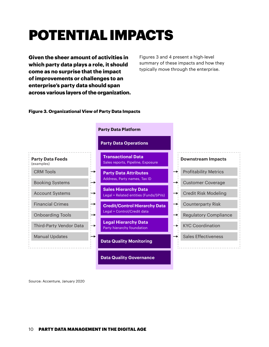# POTENTIAL IMPACTS

**Given the sheer amount of activities in which party data plays a role, it should come as no surprise that the impact of improvements or challenges to an enterprise's party data should span across various layers of the organization.** 

Figures 3 and 4 present a high-level summary of these impacts and how they typically move through the enterprise.

#### **Figure 3. Organizational View of Party Data Impacts**

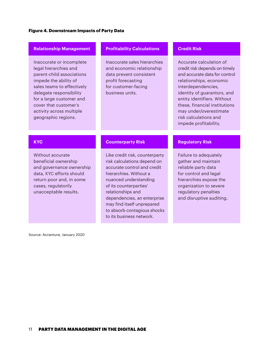#### **Figure 4. Downstream Impacts of Party Data**

#### **Relationship Management**

Inaccurate or incomplete legal hierarchies and parent-child associations impede the ability of sales teams to effectively delegate responsibility for a large customer and cover that customer's activity across multiple geographic regions.

#### **Profitability Calculations**

Inaccurate sales hierarchies and economic relationship data prevent consistent profit forecasting for customer-facing business units.

#### **Credit Risk**

Accurate calculation of credit risk depends on timely and accurate data for control relationships, economic interdependencies, identity of guarantors, and entity identifiers. Without these, financial institutions may under/overestimate risk calculations and impede profitability.

#### **KYC**

Without accurate beneficial ownership and governance ownership data, KYC efforts should return poor and, in some cases, regulatorily unacceptable results.

#### **Counterparty Risk**

Like credit risk, counterparty risk calculations depend on accurate control and credit hierarchies. Without a nuanced understanding of its counterparties' relationships and dependencies, an enterprise may find itself unprepared to absorb contagious shocks to its business network.

#### **Regulatory Risk**

Failure to adequately gather and maintain reliable party data for control and legal hierarchies expose the organization to severe regulatory penalties and disruptive auditing.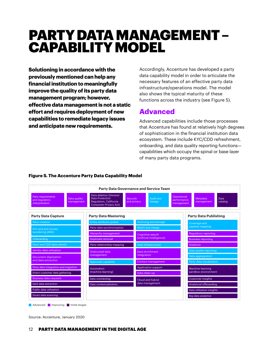# PARTY DATA MANAGEMENT – CAPABILITY MODEL

**Solutioning in accordance with the previously mentioned can help any financial institution to meaningfully improve the quality of its party data management program; however, effective data management is not a static effort and requires deployment of new capabilities to remediate legacy issues and anticipate new requirements.** 

Accordingly, Accenture has developed a party data capability model in order to articulate the necessary features of an effective party data infrastructure/operations model. The model also shows the typical maturity of these functions across the industry (see Figure 5).

### **Advanced**

Advanced capabilities include those processes that Accenture has found at relatively high degrees of sophistication in the financial institution data ecosystem. These include KYC/CDD refreshment, onboarding, and data quality reporting functions capabilities which occupy the spinal or base layer of many party data programs.



#### **Figure 5. The Accenture Party Data Capability Model**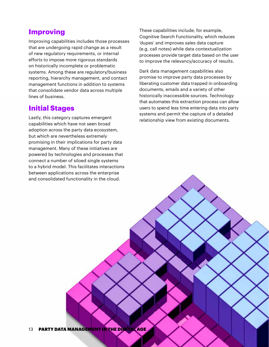### **Improving**

Improving capabilities includes those processes that are undergoing rapid change as a result of new regulatory requirements, or internal efforts to impose more rigorous standards on historically incomplete or problematic systems. Among these are regulatory/business reporting, hierarchy management, and contact management functions in addition to systems that consolidate vendor data across multiple lines of business.

### **Initial Stages**

Lastly, this category captures emergent capabilities which have not seen broad adoption across the party data ecosystem, but which are nevertheless extremely promising in their implications for party data management. Many of these initiatives are powered by technologies and processes that connect a number of siloed single systems to a hybrid model. This facilitates interactions between applications across the enterprise and consolidated functionality in the cloud.

These capabilities include, for example, Cognitive Search Functionality, which reduces 'dupes' and improves sales data capture (e.g. call notes) while data contextualization processes provide target data based on the user to improve the relevancy/accuracy of results.

Dark data management capabilities also promise to improve party data processes by liberating customer data trapped in onboarding documents, emails and a variety of other historically inaccessible sources. Technology that automates this extraction process can allow users to spend less time entering data into party systems and permit the capture of a detailed relationship view from existing documents.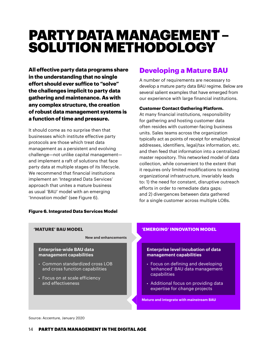# PARTY DATA MANAGEMENT – SOLUTION METHODOLOGY

**All effective party data programs share in the understanding that no single effort should ever suffice to "solve" the challenges implicit to party data gathering and maintenance. As with any complex structure, the creation of robust data management systems is a function of time and pressure.** 

It should come as no surprise then that businesses which institute effective party protocols are those which treat data management as a persistent and evolving challenge—not unlike capital management and implement a raft of solutions that face party data at multiple stages of its lifecycle. We recommend that financial institutions implement an 'Integrated Data Services' approach that unites a mature business as usual 'BAU' model with an emerging 'Innovation model' (see Figure 6).

#### **Figure 6. Integrated Data Services Model**

## **Developing a Mature BAU**

A number of requirements are necessary to develop a mature party data BAU regime. Below are several salient examples that have emerged from our experience with large financial institutions.

#### **Customer Contact Gathering Platform.**

At many financial institutions, responsibility for gathering and hosting customer data often resides with customer-facing business units. Sales teams across the organization typically act as points of receipt for email/physical addresses, identifiers, legal/tax information, etc. and then feed that information into a centralized master repository. This networked model of data collection, while convenient to the extent that it requires only limited modifications to existing organizational infrastructure, invariably leads to: 1) the need for constant, disruptive outreach efforts in order to remediate data gaps; and 2) divergences between data gathered for a single customer across multiple LOBs.

#### **'MATURE' BAU MODEL**

**New and enhancements**

#### **Enterprise-wide BAU data management capabilities**

- Common standardized cross LOB and cross function capabilities
- Focus on at scale efficiency and effectiveness

#### **'EMERGING' INNOVATION MODEL**

#### **Enterprise level incubation of data management capabilities**

- Focus on defining and developing 'enhanced' BAU data management capabilities
- Additional focus on providing data expertise for change projects

**Mature and integrate with mainstream BAU**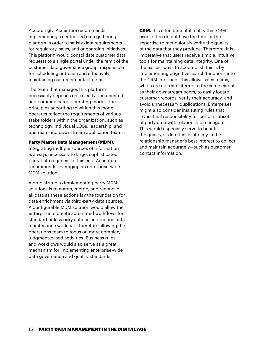Accordingly, Accenture recommends implementing a centralized data gathering platform in order to satisfy data requirements for regulatory, sales, and onboarding initiatives. This platform would consolidate customer data requests to a single portal under the remit of the customer data governance group, responsible for scheduling outreach and effectively maintaining customer contact details.

The team that manages this platform necessarily depends on a clearly documented and communicated operating model. The principles according to which this model operates reflect the requirements of various stakeholders within the organization, such as technology, individual LOBs, leadership, and upstream and downstream application teams.

#### **Party Master Data Management (MDM).**

Integrating multiple sources of information is always necessary to large, sophisticated party data regimes. To this end, Accenture recommends leveraging an enterprise-wide MDM solution.

A crucial step to implementing party MDM solutions is to match, merge, and reconcile all data as these actions lay the foundation for data enrichment via third-party data sources. A configurable MDM solution would allow the enterprise to create automated workflows for standard or less risky actions and reduce data maintenance workload, therefore allowing the operations team to focus on more complex, judgment-based activities. Business rules and workflows would also serve as a great mechanism for implementing enterprise-wide data governance and quality standards.

**CRM.** It is a fundamental reality that CRM users often do not have the time or the expertise to meticulously verify the quality of the data that they produce. Therefore, it is imperative that users receive simple, intuitive tools for maintaining data integrity. One of the easiest ways to accomplish this is by implementing cognitive search functions into the CRM interface. This allows sales teams, which are not data literate to the same extent as their downstream peers, to easily locate customer records, verify their accuracy, and avoid unnecessary duplications. Enterprises might also consider instituting rules that invest final responsibility for certain subsets of party data with relationship managers. This would especially serve to benefit the quality of data that is already in the relationship manager's best interest to collect and maintain accurately—such as customer contact information.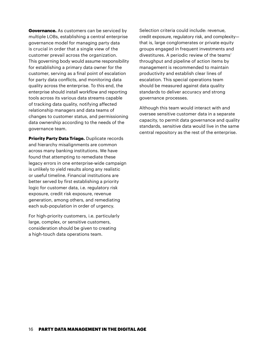**Governance.** As customers can be serviced by multiple LOBs, establishing a central enterprise governance model for managing party data is crucial in order that a single view of the customer prevail across the organization. This governing body would assume responsibility for establishing a primary data owner for the customer, serving as a final point of escalation for party data conflicts, and monitoring data quality across the enterprise. To this end, the enterprise should install workflow and reporting tools across its various data streams capable of tracking data quality, notifying affected relationship managers and data teams of changes to customer status, and permissioning data ownership according to the needs of the governance team.

**Priority Party Data Triage.** Duplicate records and hierarchy misalignments are common across many banking institutions. We have found that attempting to remediate these legacy errors in one enterprise-wide campaign is unlikely to yield results along any realistic or useful timeline. Financial institutions are better served by first establishing a priority logic for customer data, i.e. regulatory risk exposure, credit risk exposure, revenue generation, among others, and remediating each sub-population in order of urgency.

For high-priority customers, i.e. particularly large, complex, or sensitive customers, consideration should be given to creating a high-touch data operations team.

Selection criteria could include: revenue, credit exposure, regulatory risk, and complexity that is, large conglomerates or private equity groups engaged in frequent investments and divestitures. A periodic review of the teams' throughput and pipeline of action items by management is recommended to maintain productivity and establish clear lines of escalation. This special operations team should be measured against data quality standards to deliver accuracy and strong governance processes.

Although this team would interact with and oversee sensitive customer data in a separate capacity, to permit data governance and quality standards, sensitive data would live in the same central repository as the rest of the enterprise.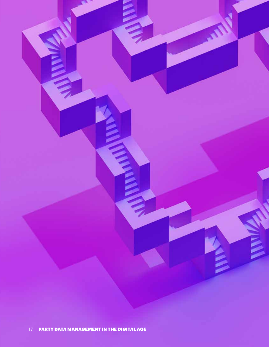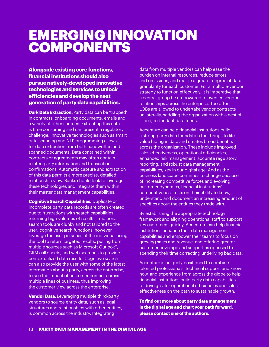# EMERGING INNOVATION COMPONENTS

**Alongside existing core functions, financial institutions should also pursue natively-developed innovative technologies and services to unlock efficiencies and develop the next generation of party data capabilities.** 

**Dark Data Extraction.** Party data can be 'trapped' in contracts, onboarding documents, emails and a variety of other sources. Extracting this data is time consuming and can present a regulatory challenge. Innovative technologies such as smart data scanning and NLP programming allows for data extraction from both handwritten and scanned documents. Data contained within contracts or agreements may often contain related party information and transaction confirmations. Automatic capture and extraction of this data permits a more precise, detailed relationship view. Banks should look to leverage these technologies and integrate them within their master data management capabilities.

**Cognitive Search Capabilities.** Duplicate or incomplete party data records are often created due to frustrations with search capabilities returning high volumes of results. Traditional search tools are clunky and not tailored to the user; cognitive search functions, however, leverage the user personas of the individual using the tool to return targeted results, pulling from multiple sources such as Microsoft Outlook®, CRM call sheets, and web searches to provide contextualized data results. Cognitive search can also provide the user with some of the latest information about a party, across the enterprise, to see the impact of customer contact across multiple lines of business, thus improving the customer view across the enterprise.

**Vendor Data.** Leveraging multiple third-party vendors to source entity data, such as legal structures and relationships with other entities, is common across the industry. Integrating

data from multiple vendors can help ease the burden on internal resources, reduce errors and omissions, and realize a greater degree of data granularity for each customer. For a multiple-vendor strategy to function effectively, it is imperative that a central group be empowered to oversee vendor relationships across the enterprise. Too often, LOBs are allowed to undertake vendor contracts unilaterally, saddling the organization with a nest of siloed, redundant data feeds.

Accenture can help financial institutions build a strong party data foundation that brings to life value hiding in data and creates broad benefits across the organization. These include improved sales effectiveness, operational efficiencies, enhanced risk management, accurate regulatory reporting, and robust data management capabilities, key in our digital age. And as the business landscape continues to change because of increasing competitive forces and evolving customer dynamics, financial institutions' competitiveness rests on their ability to know, understand and document an increasing amount of specifics about the entities they trade with.

By establishing the appropriate technology framework and aligning operational staff to support key customers quickly, Accenture can help financial institutions enhance their data management capabilities and empower their teams to focus on growing sales and revenue, and offering greater customer coverage and support as opposed to spending their time correcting underlying bad data.

Accenture is uniquely positioned to combine talented professionals, technical support and knowhow, and experience from across the globe to help financial institutions build party data capabilities to drive greater operational efficiencies and sales effectiveness on the path to sustainable growth.

**To find out more about party data management in the digital age and chart your path forward, please contact one of the authors.**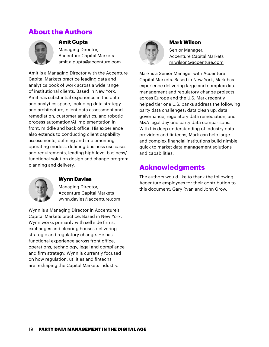### **About the Authors**



#### **Amit Gupta**

Managing Director, Accenture Capital Markets amit.a.gupta@accenture.com

Amit is a Managing Director with the Accenture Capital Markets practice leading data and analytics book of work across a wide range of institutional clients. Based in New York, Amit has substantial experience in the data and analytics space, including data strategy and architecture, client data assessment and remediation, customer analytics, and robotic process automation/AI implementation in front, middle and back office. His experience also extends to conducting client capability assessments, defining and implementing operating models, defining business use cases and requirements, leading high-level business/ functional solution design and change program planning and delivery.



#### **Wynn Davies**

Managing Director, Accenture Capital Markets wynn.davies@accenture.com

Wynn is a Managing Director in Accenture's Capital Markets practice. Based in New York, Wynn works primarily with sell side firms, exchanges and clearing houses delivering strategic and regulatory change. He has functional experience across front office, operations, technology, legal and compliance and firm strategy. Wynn is currently focused on how regulation, utilities and fintechs are reshaping the Capital Markets industry.



#### **Mark Wilson**

Senior Manager, Accenture Capital Markets m.wilson@accenture.com

Mark is a Senior Manager with Accenture Capital Markets. Based in New York, Mark has experience delivering large and complex data management and regulatory change projects across Europe and the U.S. Mark recently helped tier one U.S. banks address the following party data challenges: data clean up, data governance, regulatory data remediation, and M&A legal day one party data comparisons. With his deep understanding of industry data providers and fintechs, Mark can help large and complex financial institutions build nimble, quick to market data management solutions and capabilities.

### **Acknowledgments**

The authors would like to thank the following Accenture employees for their contribution to this document: Gary Ryan and John Grow.